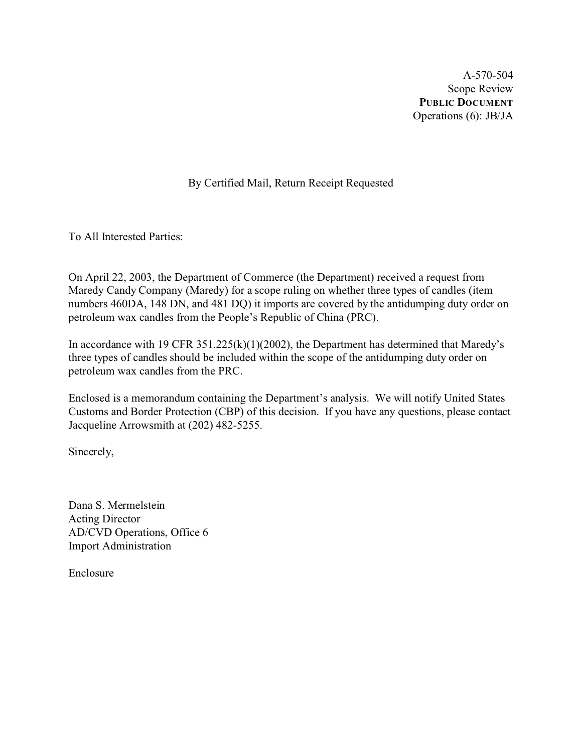A-570-504 Scope Review **PUBLIC DOCUMENT** Operations (6): JB/JA

## By Certified Mail, Return Receipt Requested

To All Interested Parties:

On April 22, 2003, the Department of Commerce (the Department) received a request from Maredy Candy Company (Maredy) for a scope ruling on whether three types of candles (item numbers 460DA, 148 DN, and 481 DQ) it imports are covered by the antidumping duty order on petroleum wax candles from the People's Republic of China (PRC).

In accordance with 19 CFR 351.225(k)(1)(2002), the Department has determined that Maredy's three types of candles should be included within the scope of the antidumping duty order on petroleum wax candles from the PRC.

Enclosed is a memorandum containing the Department's analysis. We will notify United States Customs and Border Protection (CBP) of this decision. If you have any questions, please contact Jacqueline Arrowsmith at (202) 482-5255.

Sincerely,

Dana S. Mermelstein Acting Director AD/CVD Operations, Office 6 Import Administration

Enclosure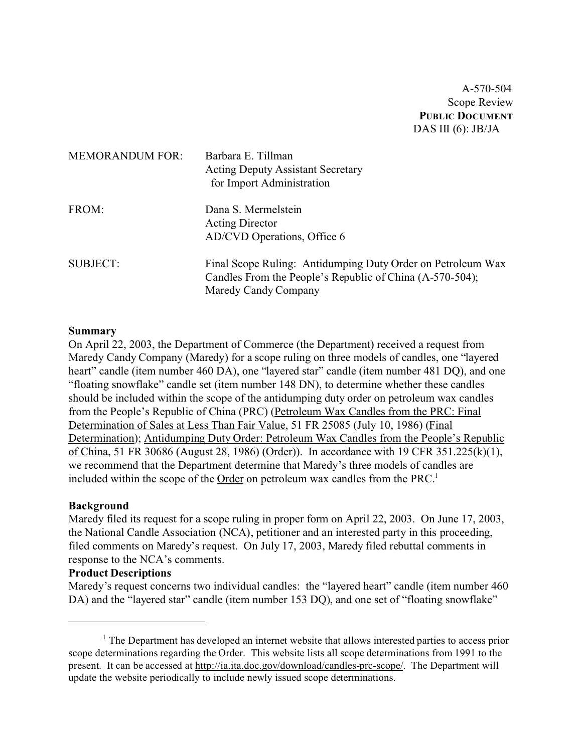A-570-504 Scope Review **PUBLIC DOCUMENT** DAS III  $(6)$ : JB/JA

| <b>MEMORANDUM FOR:</b> | Barbara E. Tillman<br><b>Acting Deputy Assistant Secretary</b><br>for Import Administration                                                     |
|------------------------|-------------------------------------------------------------------------------------------------------------------------------------------------|
| FROM:                  | Dana S. Mermelstein<br><b>Acting Director</b><br>AD/CVD Operations, Office 6                                                                    |
| <b>SUBJECT:</b>        | Final Scope Ruling: Antidumping Duty Order on Petroleum Wax<br>Candles From the People's Republic of China (A-570-504);<br>Maredy Candy Company |

#### **Summary**

On April 22, 2003, the Department of Commerce (the Department) received a request from Maredy Candy Company (Maredy) for a scope ruling on three models of candles, one "layered heart" candle (item number 460 DA), one "layered star" candle (item number 481 DQ), and one "floating snowflake" candle set (item number 148 DN), to determine whether these candles should be included within the scope of the antidumping duty order on petroleum wax candles from the People's Republic of China (PRC) (Petroleum Wax Candles from the PRC: Final Determination of Sales at Less Than Fair Value, 51 FR 25085 (July 10, 1986) (Final Determination); Antidumping Duty Order: Petroleum Wax Candles from the People's Republic of China, 51 FR 30686 (August 28, 1986) (Order)). In accordance with 19 CFR 351.225(k)(1), we recommend that the Department determine that Maredy's three models of candles are included within the scope of the Order on petroleum wax candles from the PRC.<sup>1</sup>

#### **Background**

Maredy filed its request for a scope ruling in proper form on April 22, 2003. On June 17, 2003, the National Candle Association (NCA), petitioner and an interested party in this proceeding, filed comments on Maredy's request. On July 17, 2003, Maredy filed rebuttal comments in response to the NCA's comments.

### **Product Descriptions**

Maredy's request concerns two individual candles: the "layered heart" candle (item number 460) DA) and the "layered star" candle (item number 153 DO), and one set of "floating snowflake"

 $<sup>1</sup>$  The Department has developed an internet website that allows interested parties to access prior</sup> scope determinations regarding the Order. This website lists all scope determinations from 1991 to the present. It can be accessed at [http://ia.ita.doc.gov/download/candles-prc-scope/. The Department](http://ia.ita.doc.gov/download/candles-prc-scope/,) will update the website periodically to include newly issued scope determinations.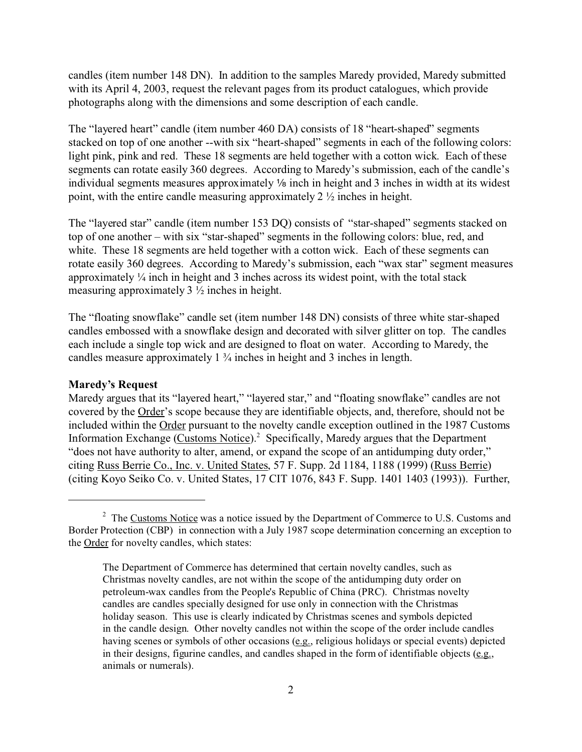candles (item number 148 DN). In addition to the samples Maredy provided, Maredy submitted with its April 4, 2003, request the relevant pages from its product catalogues, which provide photographs along with the dimensions and some description of each candle.

The "layered heart" candle (item number 460 DA) consists of 18 "heart-shaped" segments stacked on top of one another --with six "heart-shaped" segments in each of the following colors: light pink, pink and red. These 18 segments are held together with a cotton wick. Each of these segments can rotate easily 360 degrees. According to Maredy's submission, each of the candle's individual segments measures approximately  $\frac{1}{2}$  inch in height and 3 inches in width at its widest point, with the entire candle measuring approximately 2 ½ inches in height.

The "layered star" candle (item number 153 DQ) consists of "star-shaped" segments stacked on top of one another – with six "star-shaped" segments in the following colors: blue, red, and white. These 18 segments are held together with a cotton wick. Each of these segments can rotate easily 360 degrees. According to Maredy's submission, each "wax star" segment measures approximately ¼ inch in height and 3 inches across its widest point, with the total stack measuring approximately 3 ½ inches in height.

The "floating snowflake" candle set (item number 148 DN) consists of three white star-shaped candles embossed with a snowflake design and decorated with silver glitter on top. The candles each include a single top wick and are designed to float on water. According to Maredy, the candles measure approximately 1 ¾ inches in height and 3 inches in length.

#### **Maredy's Request**

Maredy argues that its "layered heart," "layered star," and "floating snowflake" candles are not covered by the Order's scope because they are identifiable objects, and, therefore, should not be included within the Order pursuant to the novelty candle exception outlined in the 1987 Customs Information Exchange (Customs Notice).<sup>2</sup> Specifically, Maredy argues that the Department "does not have authority to alter, amend, or expand the scope of an antidumping duty order," citing Russ Berrie Co., Inc. v. United States, 57 F. Supp. 2d 1184, 1188 (1999) (Russ Berrie) (citing Koyo Seiko Co. v. United States, 17 CIT 1076, 843 F. Supp. 1401 1403 (1993)). Further,

<sup>&</sup>lt;sup>2</sup> The Customs Notice was a notice issued by the Department of Commerce to U.S. Customs and Border Protection (CBP) in connection with a July 1987 scope determination concerning an exception to the Order for novelty candles, which states:

The Department of Commerce has determined that certain novelty candles, such as Christmas novelty candles, are not within the scope of the antidumping duty order on petroleum-wax candles from the People's Republic of China (PRC). Christmas novelty candles are candles specially designed for use only in connection with the Christmas holiday season. This use is clearly indicated by Christmas scenes and symbols depicted in the candle design. Other novelty candles not within the scope of the order include candles having scenes or symbols of other occasions (e.g., religious holidays or special events) depicted in their designs, figurine candles, and candles shaped in the form of identifiable objects (e.g., animals or numerals).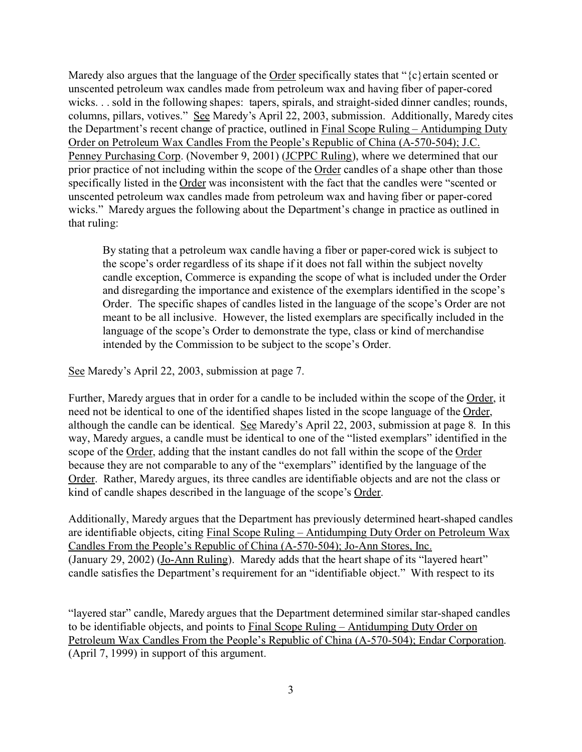Maredy also argues that the language of the Order specifically states that " $\{c\}$  ertain scented or unscented petroleum wax candles made from petroleum wax and having fiber of paper-cored wicks. . . sold in the following shapes: tapers, spirals, and straight-sided dinner candles; rounds, columns, pillars, votives." See Maredy's April 22, 2003, submission. Additionally, Maredy cites the Department's recent change of practice, outlined in Final Scope Ruling – Antidumping Duty Order on Petroleum Wax Candles From the People's Republic of China (A-570-504); J.C. Penney Purchasing Corp. (November 9, 2001) (JCPPC Ruling), where we determined that our prior practice of not including within the scope of the Order candles of a shape other than those specifically listed in the Order was inconsistent with the fact that the candles were "scented or unscented petroleum wax candles made from petroleum wax and having fiber or paper-cored wicks." Maredy argues the following about the Department's change in practice as outlined in that ruling:

By stating that a petroleum wax candle having a fiber or paper-cored wick is subject to the scope's order regardless of its shape if it does not fall within the subject novelty candle exception, Commerce is expanding the scope of what is included under the Order and disregarding the importance and existence of the exemplars identified in the scope's Order. The specific shapes of candles listed in the language of the scope's Order are not meant to be all inclusive. However, the listed exemplars are specifically included in the language of the scope's Order to demonstrate the type, class or kind of merchandise intended by the Commission to be subject to the scope's Order.

See Maredy's April 22, 2003, submission at page 7.

Further, Maredy argues that in order for a candle to be included within the scope of the Order, it need not be identical to one of the identified shapes listed in the scope language of the Order, although the candle can be identical. See Maredy's April 22, 2003, submission at page 8. In this way, Maredy argues, a candle must be identical to one of the "listed exemplars" identified in the scope of the Order, adding that the instant candles do not fall within the scope of the Order because they are not comparable to any of the "exemplars" identified by the language of the Order. Rather, Maredy argues, its three candles are identifiable objects and are not the class or kind of candle shapes described in the language of the scope's Order.

Additionally, Maredy argues that the Department has previously determined heart-shaped candles are identifiable objects, citing Final Scope Ruling – Antidumping Duty Order on Petroleum Wax Candles From the People's Republic of China (A-570-504); Jo-Ann Stores, Inc. (January 29, 2002) (Jo-Ann Ruling). Maredy adds that the heart shape of its "layered heart" candle satisfies the Department's requirement for an "identifiable object." With respect to its

"layered star" candle, Maredy argues that the Department determined similar star-shaped candles to be identifiable objects, and points to Final Scope Ruling – Antidumping Duty Order on Petroleum Wax Candles From the People's Republic of China (A-570-504); Endar Corporation. (April 7, 1999) in support of this argument.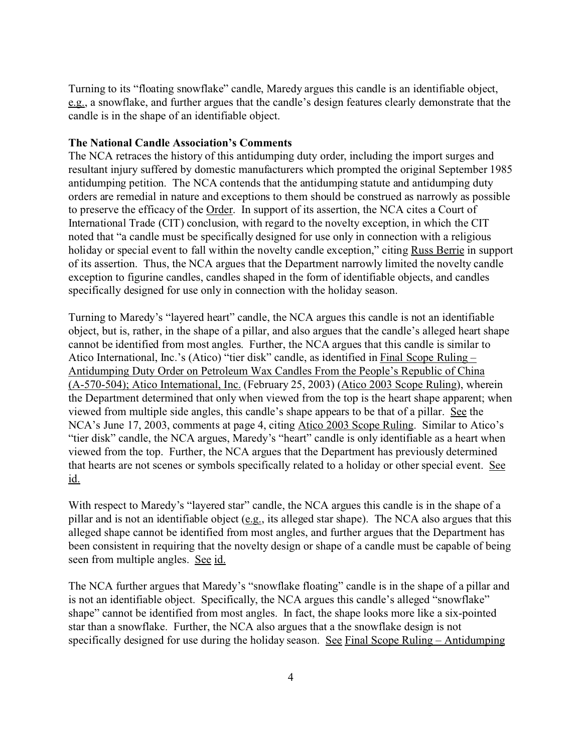Turning to its "floating snowflake" candle, Maredy argues this candle is an identifiable object, e.g., a snowflake, and further argues that the candle's design features clearly demonstrate that the candle is in the shape of an identifiable object.

### **The National Candle Association's Comments**

The NCA retraces the history of this antidumping duty order, including the import surges and resultant injury suffered by domestic manufacturers which prompted the original September 1985 antidumping petition. The NCA contends that the antidumping statute and antidumping duty orders are remedial in nature and exceptions to them should be construed as narrowly as possible to preserve the efficacy of the Order. In support of its assertion, the NCA cites a Court of International Trade (CIT) conclusion, with regard to the novelty exception, in which the CIT noted that "a candle must be specifically designed for use only in connection with a religious holiday or special event to fall within the novelty candle exception," citing Russ Berrie in support of its assertion. Thus, the NCA argues that the Department narrowly limited the novelty candle exception to figurine candles, candles shaped in the form of identifiable objects, and candles specifically designed for use only in connection with the holiday season.

Turning to Maredy's "layered heart" candle, the NCA argues this candle is not an identifiable object, but is, rather, in the shape of a pillar, and also argues that the candle's alleged heart shape cannot be identified from most angles. Further, the NCA argues that this candle is similar to Atico International, Inc.'s (Atico) "tier disk" candle, as identified in Final Scope Ruling – Antidumping Duty Order on Petroleum Wax Candles From the People's Republic of China (A-570-504); Atico International, Inc. (February 25, 2003) (Atico 2003 Scope Ruling), wherein the Department determined that only when viewed from the top is the heart shape apparent; when viewed from multiple side angles, this candle's shape appears to be that of a pillar. See the NCA's June 17, 2003, comments at page 4, citing Atico 2003 Scope Ruling. Similar to Atico's "tier disk" candle, the NCA argues, Maredy's "heart" candle is only identifiable as a heart when viewed from the top. Further, the NCA argues that the Department has previously determined that hearts are not scenes or symbols specifically related to a holiday or other special event. See id.

With respect to Maredy's "layered star" candle, the NCA argues this candle is in the shape of a pillar and is not an identifiable object (e.g., its alleged star shape). The NCA also argues that this alleged shape cannot be identified from most angles, and further argues that the Department has been consistent in requiring that the novelty design or shape of a candle must be capable of being seen from multiple angles. See id.

The NCA further argues that Maredy's "snowflake floating" candle is in the shape of a pillar and is not an identifiable object. Specifically, the NCA argues this candle's alleged "snowflake" shape" cannot be identified from most angles. In fact, the shape looks more like a six-pointed star than a snowflake. Further, the NCA also argues that a the snowflake design is not specifically designed for use during the holiday season. See Final Scope Ruling – Antidumping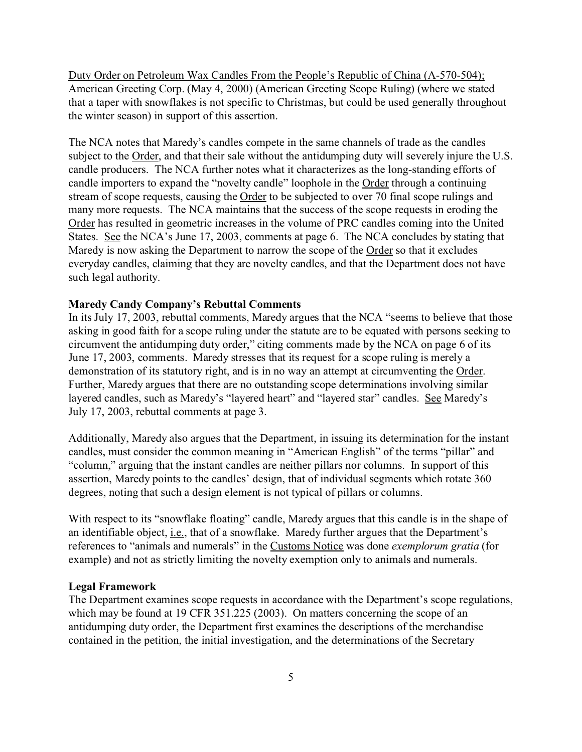Duty Order on Petroleum Wax Candles From the People's Republic of China (A-570-504); American Greeting Corp. (May 4, 2000) (American Greeting Scope Ruling) (where we stated that a taper with snowflakes is not specific to Christmas, but could be used generally throughout the winter season) in support of this assertion.

The NCA notes that Maredy's candles compete in the same channels of trade as the candles subject to the Order, and that their sale without the antidumping duty will severely injure the U.S. candle producers. The NCA further notes what it characterizes as the long-standing efforts of candle importers to expand the "novelty candle" loophole in the Order through a continuing stream of scope requests, causing the Order to be subjected to over 70 final scope rulings and many more requests. The NCA maintains that the success of the scope requests in eroding the Order has resulted in geometric increases in the volume of PRC candles coming into the United States. See the NCA's June 17, 2003, comments at page 6. The NCA concludes by stating that Maredy is now asking the Department to narrow the scope of the Order so that it excludes everyday candles, claiming that they are novelty candles, and that the Department does not have such legal authority.

#### **Maredy Candy Company's Rebuttal Comments**

In its July 17, 2003, rebuttal comments, Maredy argues that the NCA "seems to believe that those asking in good faith for a scope ruling under the statute are to be equated with persons seeking to circumvent the antidumping duty order," citing comments made by the NCA on page 6 of its June 17, 2003, comments. Maredy stresses that its request for a scope ruling is merely a demonstration of its statutory right, and is in no way an attempt at circumventing the Order. Further, Maredy argues that there are no outstanding scope determinations involving similar layered candles, such as Maredy's "layered heart" and "layered star" candles. See Maredy's July 17, 2003, rebuttal comments at page 3.

Additionally, Maredy also argues that the Department, in issuing its determination for the instant candles, must consider the common meaning in "American English" of the terms "pillar" and "column," arguing that the instant candles are neither pillars nor columns. In support of this assertion, Maredy points to the candles' design, that of individual segments which rotate 360 degrees, noting that such a design element is not typical of pillars or columns.

With respect to its "snowflake floating" candle, Maredy argues that this candle is in the shape of an identifiable object, *i.e.*, that of a snowflake. Maredy further argues that the Department's references to "animals and numerals" in the Customs Notice was done *exemplorum gratia* (for example) and not as strictly limiting the novelty exemption only to animals and numerals.

#### **Legal Framework**

The Department examines scope requests in accordance with the Department's scope regulations, which may be found at 19 CFR 351.225 (2003). On matters concerning the scope of an antidumping duty order, the Department first examines the descriptions of the merchandise contained in the petition, the initial investigation, and the determinations of the Secretary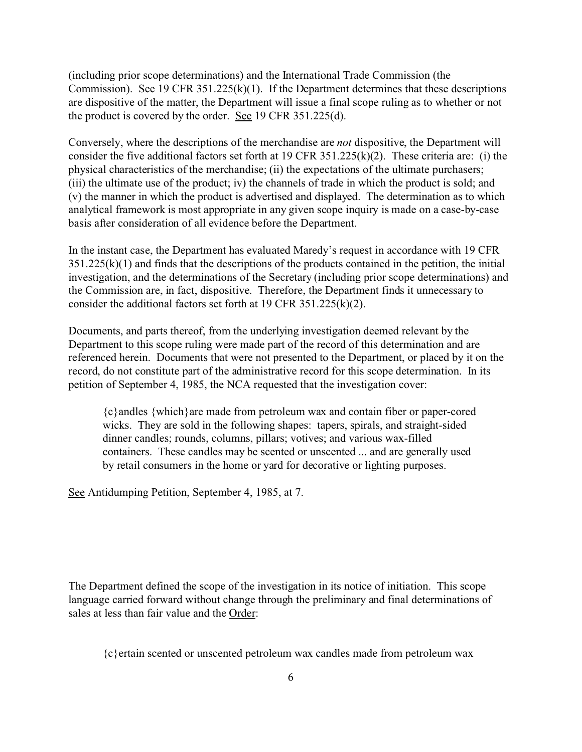(including prior scope determinations) and the International Trade Commission (the Commission). See 19 CFR 351.225(k)(1). If the Department determines that these descriptions are dispositive of the matter, the Department will issue a final scope ruling as to whether or not the product is covered by the order. See 19 CFR 351.225(d).

Conversely, where the descriptions of the merchandise are *not* dispositive, the Department will consider the five additional factors set forth at 19 CFR 351.225(k)(2). These criteria are: (i) the physical characteristics of the merchandise; (ii) the expectations of the ultimate purchasers; (iii) the ultimate use of the product; iv) the channels of trade in which the product is sold; and (v) the manner in which the product is advertised and displayed. The determination as to which analytical framework is most appropriate in any given scope inquiry is made on a case-by-case basis after consideration of all evidence before the Department.

In the instant case, the Department has evaluated Maredy's request in accordance with 19 CFR  $351.225(k)(1)$  and finds that the descriptions of the products contained in the petition, the initial investigation, and the determinations of the Secretary (including prior scope determinations) and the Commission are, in fact, dispositive. Therefore, the Department finds it unnecessary to consider the additional factors set forth at 19 CFR 351.225(k)(2).

Documents, and parts thereof, from the underlying investigation deemed relevant by the Department to this scope ruling were made part of the record of this determination and are referenced herein. Documents that were not presented to the Department, or placed by it on the record, do not constitute part of the administrative record for this scope determination. In its petition of September 4, 1985, the NCA requested that the investigation cover:

{c}andles {which}are made from petroleum wax and contain fiber or paper-cored wicks. They are sold in the following shapes: tapers, spirals, and straight-sided dinner candles; rounds, columns, pillars; votives; and various wax-filled containers. These candles may be scented or unscented ... and are generally used by retail consumers in the home or yard for decorative or lighting purposes.

See Antidumping Petition, September 4, 1985, at 7.

The Department defined the scope of the investigation in its notice of initiation. This scope language carried forward without change through the preliminary and final determinations of sales at less than fair value and the Order:

{c}ertain scented or unscented petroleum wax candles made from petroleum wax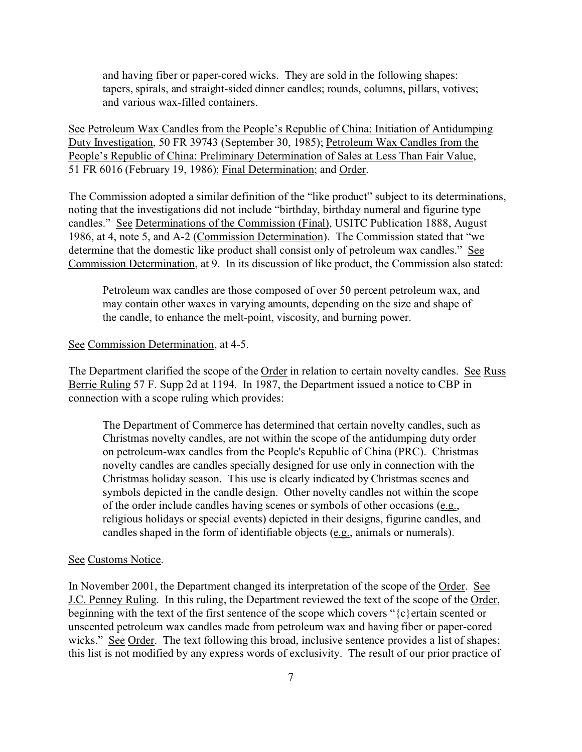and having fiber or paper-cored wicks. They are sold in the following shapes: tapers, spirals, and straight-sided dinner candles; rounds, columns, pillars, votives; and various wax-filled containers.

See Petroleum Wax Candles from the People's Republic of China: Initiation of Antidumping Duty Investigation, 50 FR 39743 (September 30, 1985); Petroleum Wax Candles from the People's Republic of China: Preliminary Determination of Sales at Less Than Fair Value, 51 FR 6016 (February 19, 1986); Final Determination; and Order.

The Commission adopted a similar definition of the "like product" subject to its determinations, noting that the investigations did not include "birthday, birthday numeral and figurine type candles." See Determinations of the Commission (Final), USITC Publication 1888, August 1986, at 4, note 5, and A-2 (Commission Determination). The Commission stated that "we determine that the domestic like product shall consist only of petroleum wax candles." See Commission Determination, at 9. In its discussion of like product, the Commission also stated:

Petroleum wax candles are those composed of over 50 percent petroleum wax, and may contain other waxes in varying amounts, depending on the size and shape of the candle, to enhance the melt-point, viscosity, and burning power.

#### See Commission Determination, at 4-5.

The Department clarified the scope of the Order in relation to certain novelty candles. See Russ Berrie Ruling 57 F. Supp 2d at 1194. In 1987, the Department issued a notice to CBP in connection with a scope ruling which provides:

The Department of Commerce has determined that certain novelty candles, such as Christmas novelty candles, are not within the scope of the antidumping duty order on petroleum-wax candles from the People's Republic of China (PRC). Christmas novelty candles are candles specially designed for use only in connection with the Christmas holiday season. This use is clearly indicated by Christmas scenes and symbols depicted in the candle design. Other novelty candles not within the scope of the order include candles having scenes or symbols of other occasions (e.g., religious holidays or special events) depicted in their designs, figurine candles, and candles shaped in the form of identifiable objects (e.g., animals or numerals).

#### See Customs Notice.

In November 2001, the Department changed its interpretation of the scope of the Order. See J.C. Penney Ruling. In this ruling, the Department reviewed the text of the scope of the Order, beginning with the text of the first sentence of the scope which covers "{c}ertain scented or unscented petroleum wax candles made from petroleum wax and having fiber or paper-cored wicks." See Order. The text following this broad, inclusive sentence provides a list of shapes; this list is not modified by any express words of exclusivity. The result of our prior practice of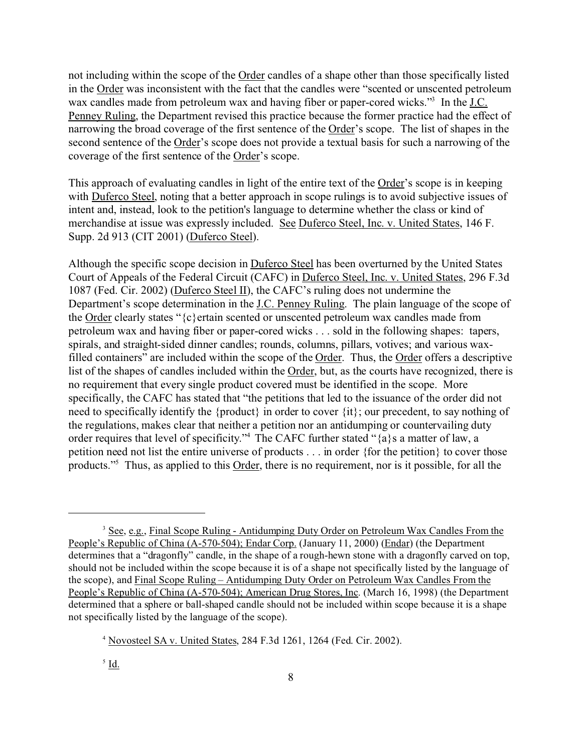not including within the scope of the Order candles of a shape other than those specifically listed in the Order was inconsistent with the fact that the candles were "scented or unscented petroleum wax candles made from petroleum wax and having fiber or paper-cored wicks."<sup>3</sup> In the J.C. Penney Ruling, the Department revised this practice because the former practice had the effect of narrowing the broad coverage of the first sentence of the Order's scope. The list of shapes in the second sentence of the Order's scope does not provide a textual basis for such a narrowing of the coverage of the first sentence of the Order's scope.

This approach of evaluating candles in light of the entire text of the Order's scope is in keeping with Duferco Steel, noting that a better approach in scope rulings is to avoid subjective issues of intent and, instead, look to the petition's language to determine whether the class or kind of merchandise at issue was expressly included. See Duferco Steel, Inc. v. United States, 146 F. Supp. 2d 913 (CIT 2001) (Duferco Steel).

Although the specific scope decision in Duferco Steel has been overturned by the United States Court of Appeals of the Federal Circuit (CAFC) in Duferco Steel, Inc. v. United States, 296 F.3d 1087 (Fed. Cir. 2002) (Duferco Steel II), the CAFC's ruling does not undermine the Department's scope determination in the J.C. Penney Ruling. The plain language of the scope of the Order clearly states "{c}ertain scented or unscented petroleum wax candles made from petroleum wax and having fiber or paper-cored wicks . . . sold in the following shapes: tapers, spirals, and straight-sided dinner candles; rounds, columns, pillars, votives; and various waxfilled containers" are included within the scope of the Order. Thus, the Order offers a descriptive list of the shapes of candles included within the Order, but, as the courts have recognized, there is no requirement that every single product covered must be identified in the scope. More specifically, the CAFC has stated that "the petitions that led to the issuance of the order did not need to specifically identify the {product} in order to cover {it}; our precedent, to say nothing of the regulations, makes clear that neither a petition nor an antidumping or countervailing duty order requires that level of specificity."<sup>4</sup> The CAFC further stated "{a}s a matter of law, a petition need not list the entire universe of products . . . in order {for the petition} to cover those products."<sup>5</sup> Thus, as applied to this **Order**, there is no requirement, nor is it possible, for all the

<sup>&</sup>lt;sup>3</sup> See, e.g., Final Scope Ruling - Antidumping Duty Order on Petroleum Wax Candles From the People's Republic of China (A-570-504); Endar Corp. (January 11, 2000) (Endar) (the Department determines that a "dragonfly" candle, in the shape of a rough-hewn stone with a dragonfly carved on top, should not be included within the scope because it is of a shape not specifically listed by the language of the scope), and Final Scope Ruling – Antidumping Duty Order on Petroleum Wax Candles From the People's Republic of China (A-570-504); American Drug Stores, Inc. (March 16, 1998) (the Department determined that a sphere or ball-shaped candle should not be included within scope because it is a shape not specifically listed by the language of the scope).

<sup>4</sup> Novosteel SA v. United States, 284 F.3d 1261, 1264 (Fed. Cir. 2002).

<sup>5</sup> Id.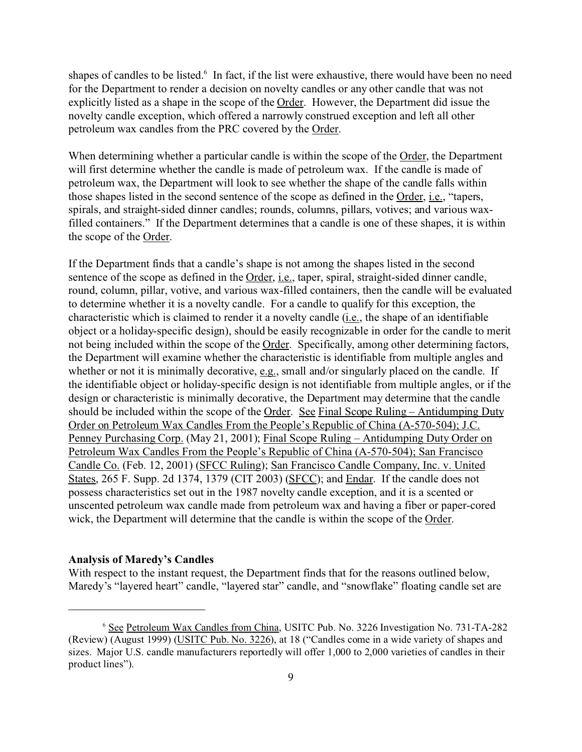shapes of candles to be listed.<sup>6</sup> In fact, if the list were exhaustive, there would have been no need for the Department to render a decision on novelty candles or any other candle that was not explicitly listed as a shape in the scope of the Order. However, the Department did issue the novelty candle exception, which offered a narrowly construed exception and left all other petroleum wax candles from the PRC covered by the Order.

When determining whether a particular candle is within the scope of the Order, the Department will first determine whether the candle is made of petroleum wax. If the candle is made of petroleum wax, the Department will look to see whether the shape of the candle falls within those shapes listed in the second sentence of the scope as defined in the Order, i.e., "tapers, spirals, and straight-sided dinner candles; rounds, columns, pillars, votives; and various waxfilled containers." If the Department determines that a candle is one of these shapes, it is within the scope of the Order.

If the Department finds that a candle's shape is not among the shapes listed in the second sentence of the scope as defined in the Order, i.e., taper, spiral, straight-sided dinner candle, round, column, pillar, votive, and various wax-filled containers, then the candle will be evaluated to determine whether it is a novelty candle. For a candle to qualify for this exception, the characteristic which is claimed to render it a novelty candle (i.e., the shape of an identifiable object or a holiday-specific design), should be easily recognizable in order for the candle to merit not being included within the scope of the Order. Specifically, among other determining factors, the Department will examine whether the characteristic is identifiable from multiple angles and whether or not it is minimally decorative, e.g., small and/or singularly placed on the candle. If the identifiable object or holiday-specific design is not identifiable from multiple angles, or if the design or characteristic is minimally decorative, the Department may determine that the candle should be included within the scope of the Order. See Final Scope Ruling – Antidumping Duty Order on Petroleum Wax Candles From the People's Republic of China (A-570-504); J.C. Penney Purchasing Corp. (May 21, 2001); Final Scope Ruling – Antidumping Duty Order on Petroleum Wax Candles From the People's Republic of China (A-570-504); San Francisco Candle Co. (Feb. 12, 2001) (SFCC Ruling); San Francisco Candle Company, Inc. v. United States, 265 F. Supp. 2d 1374, 1379 (CIT 2003) (SFCC); and Endar. If the candle does not possess characteristics set out in the 1987 novelty candle exception, and it is a scented or unscented petroleum wax candle made from petroleum wax and having a fiber or paper-cored wick, the Department will determine that the candle is within the scope of the Order.

#### **Analysis of Maredy's Candles**

With respect to the instant request, the Department finds that for the reasons outlined below, Maredy's "layered heart" candle, "layered star" candle, and "snowflake" floating candle set are

<sup>6</sup> See Petroleum Wax Candles from China, USITC Pub. No. 3226 Investigation No. 731-TA-282 (Review) (August 1999) (USITC Pub. No. 3226), at 18 ("Candles come in a wide variety of shapes and sizes. Major U.S. candle manufacturers reportedly will offer 1,000 to 2,000 varieties of candles in their product lines").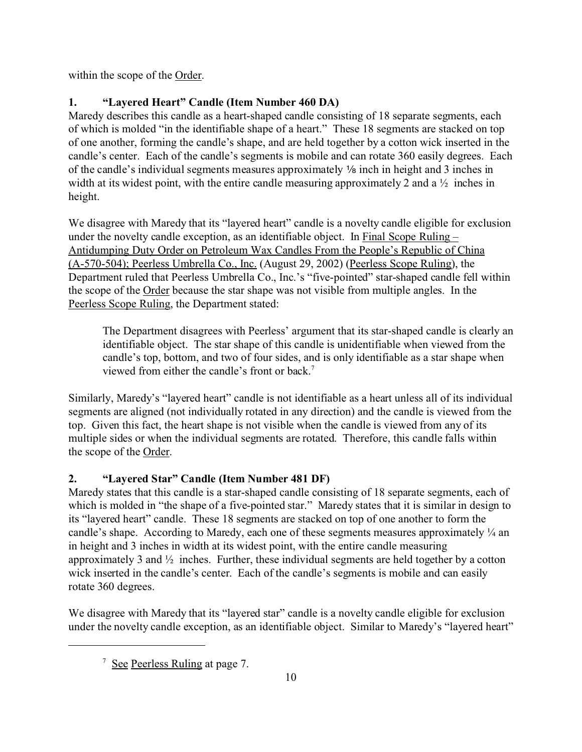within the scope of the Order.

# **1. "Layered Heart" Candle (Item Number 460 DA)**

Maredy describes this candle as a heart-shaped candle consisting of 18 separate segments, each of which is molded "in the identifiable shape of a heart." These 18 segments are stacked on top of one another, forming the candle's shape, and are held together by a cotton wick inserted in the candle's center. Each of the candle's segments is mobile and can rotate 360 easily degrees. Each of the candle's individual segments measures approximately  $\frac{1}{2}$  inch in height and 3 inches in width at its widest point, with the entire candle measuring approximately 2 and a  $\frac{1}{2}$  inches in height.

We disagree with Maredy that its "layered heart" candle is a novelty candle eligible for exclusion under the novelty candle exception, as an identifiable object. In Final Scope Ruling – Antidumping Duty Order on Petroleum Wax Candles From the People's Republic of China (A-570-504); Peerless Umbrella Co., Inc. (August 29, 2002) (Peerless Scope Ruling), the Department ruled that Peerless Umbrella Co., Inc.'s "five-pointed" star-shaped candle fell within the scope of the Order because the star shape was not visible from multiple angles. In the Peerless Scope Ruling, the Department stated:

The Department disagrees with Peerless' argument that its star-shaped candle is clearly an identifiable object. The star shape of this candle is unidentifiable when viewed from the candle's top, bottom, and two of four sides, and is only identifiable as a star shape when viewed from either the candle's front or back.<sup>7</sup>

Similarly, Maredy's "layered heart" candle is not identifiable as a heart unless all of its individual segments are aligned (not individually rotated in any direction) and the candle is viewed from the top. Given this fact, the heart shape is not visible when the candle is viewed from any of its multiple sides or when the individual segments are rotated. Therefore, this candle falls within the scope of the Order.

# **2. "Layered Star" Candle (Item Number 481 DF)**

Maredy states that this candle is a star-shaped candle consisting of 18 separate segments, each of which is molded in "the shape of a five-pointed star." Maredy states that it is similar in design to its "layered heart" candle. These 18 segments are stacked on top of one another to form the candle's shape. According to Maredy, each one of these segments measures approximately ¼ an in height and 3 inches in width at its widest point, with the entire candle measuring approximately 3 and ½ inches. Further, these individual segments are held together by a cotton wick inserted in the candle's center. Each of the candle's segments is mobile and can easily rotate 360 degrees.

We disagree with Maredy that its "layered star" candle is a novelty candle eligible for exclusion under the novelty candle exception, as an identifiable object. Similar to Maredy's "layered heart"

<sup>&</sup>lt;sup>7</sup> See Peerless Ruling at page 7.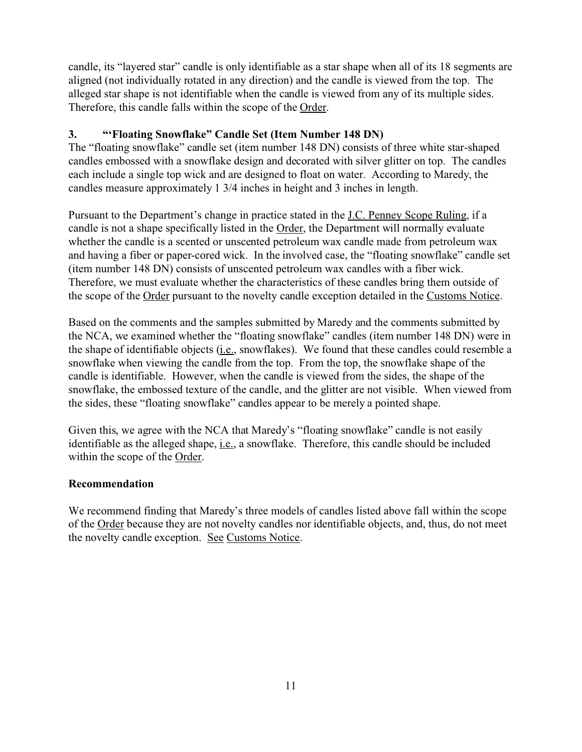candle, its "layered star" candle is only identifiable as a star shape when all of its 18 segments are aligned (not individually rotated in any direction) and the candle is viewed from the top. The alleged star shape is not identifiable when the candle is viewed from any of its multiple sides. Therefore, this candle falls within the scope of the Order.

# **3. "'Floating Snowflake" Candle Set (Item Number 148 DN)**

The "floating snowflake" candle set (item number 148 DN) consists of three white star-shaped candles embossed with a snowflake design and decorated with silver glitter on top. The candles each include a single top wick and are designed to float on water. According to Maredy, the candles measure approximately 1 3/4 inches in height and 3 inches in length.

Pursuant to the Department's change in practice stated in the J.C. Penney Scope Ruling, if a candle is not a shape specifically listed in the Order, the Department will normally evaluate whether the candle is a scented or unscented petroleum wax candle made from petroleum wax and having a fiber or paper-cored wick. In the involved case, the "floating snowflake" candle set (item number 148 DN) consists of unscented petroleum wax candles with a fiber wick. Therefore, we must evaluate whether the characteristics of these candles bring them outside of the scope of the Order pursuant to the novelty candle exception detailed in the Customs Notice.

Based on the comments and the samples submitted by Maredy and the comments submitted by the NCA, we examined whether the "floating snowflake" candles (item number 148 DN) were in the shape of identifiable objects (*i.e.*, snowflakes). We found that these candles could resemble a snowflake when viewing the candle from the top. From the top, the snowflake shape of the candle is identifiable. However, when the candle is viewed from the sides, the shape of the snowflake, the embossed texture of the candle, and the glitter are not visible. When viewed from the sides, these "floating snowflake" candles appear to be merely a pointed shape.

Given this, we agree with the NCA that Maredy's "floating snowflake" candle is not easily identifiable as the alleged shape, i.e., a snowflake. Therefore, this candle should be included within the scope of the Order.

# **Recommendation**

We recommend finding that Maredy's three models of candles listed above fall within the scope of the Order because they are not novelty candles nor identifiable objects, and, thus, do not meet the novelty candle exception. See Customs Notice.